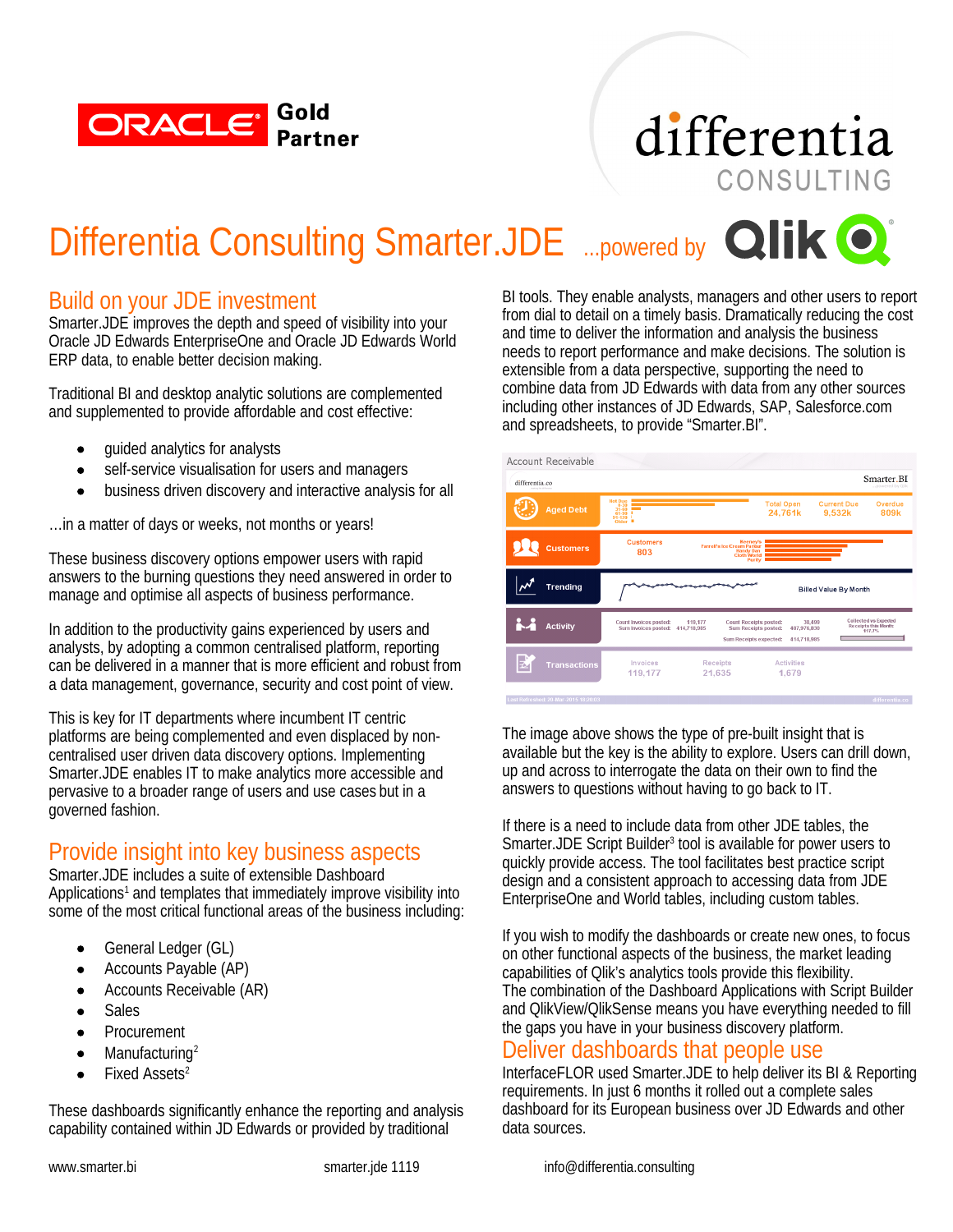

## differentia CONSULTING

## Differentia Consulting Smarter.JDE ...powered by **Qlik O**

### Build on your JDE investment

Smarter.JDE improves the depth and speed of visibility into your Oracle JD Edwards EnterpriseOne and Oracle JD Edwards World ERP data, to enable better decision making.

Traditional BI and desktop analytic solutions are complemented and supplemented to provide affordable and cost effective:

- guided analytics for analysts
- self-service visualisation for users and managers
- business driven discovery and interactive analysis for all

…in a matter of days or weeks, not months or years!

These business discovery options empower users with rapid answers to the burning questions they need answered in order to manage and optimise all aspects of business performance.

In addition to the productivity gains experienced by users and analysts, by adopting a common centralised platform, reporting can be delivered in a manner that is more efficient and robust from a data management, governance, security and cost point of view.

This is key for IT departments where incumbent IT centric platforms are being complemented and even displaced by noncentralised user driven data discovery options. Implementing Smarter.JDE enables IT to make analytics more accessible and pervasive to a broader range of users and use cases but in a governed fashion.

## Provide insight into key business aspects

Smarter.JDE includes a suite of extensible Dashboard Applications<sup>1</sup> and templates that immediately improve visibility into some of the most critical functional areas of the business including:

- General Ledger (GL)
- Accounts Payable (AP)
- Accounts Receivable (AR)
- Sales
- **•** Procurement
- Manufacturing<sup>2</sup>
- Fixed Assets<sup>2</sup>

These dashboards significantly enhance the reporting and analysis capability contained within JD Edwards or provided by traditional

BI tools. They enable analysts, managers and other users to report from dial to detail on a timely basis. Dramatically reducing the cost and time to deliver the information and analysis the business needs to report performance and make decisions. The solution is extensible from a data perspective, supporting the need to combine data from JD Edwards with data from any other sources including other instances of JD Edwards, SAP, Salesforce.com and spreadsheets, to provide "Smarter.BI".



The image above shows the type of pre-built insight that is available but the key is the ability to explore. Users can drill down, up and across to interrogate the data on their own to find the answers to questions without having to go back to IT.

If there is a need to include data from other JDE tables, the Smarter.JDE Script Builder<sup>3</sup> tool is available for power users to quickly provide access. The tool facilitates best practice script design and a consistent approach to accessing data from JDE EnterpriseOne and World tables, including custom tables.

If you wish to modify the dashboards or create new ones, to focus on other functional aspects of the business, the market leading capabilities of Qlik's analytics tools provide this flexibility. The combination of the Dashboard Applications with Script Builder and QlikView/QlikSense means you have everything needed to fill the gaps you have in your business discovery platform.

#### Deliver dashboards that people use

InterfaceFLOR used Smarter.JDE to help deliver its BI & Reporting requirements. In just 6 months it rolled out a complete sales dashboard for its European business over JD Edwards and other data sources.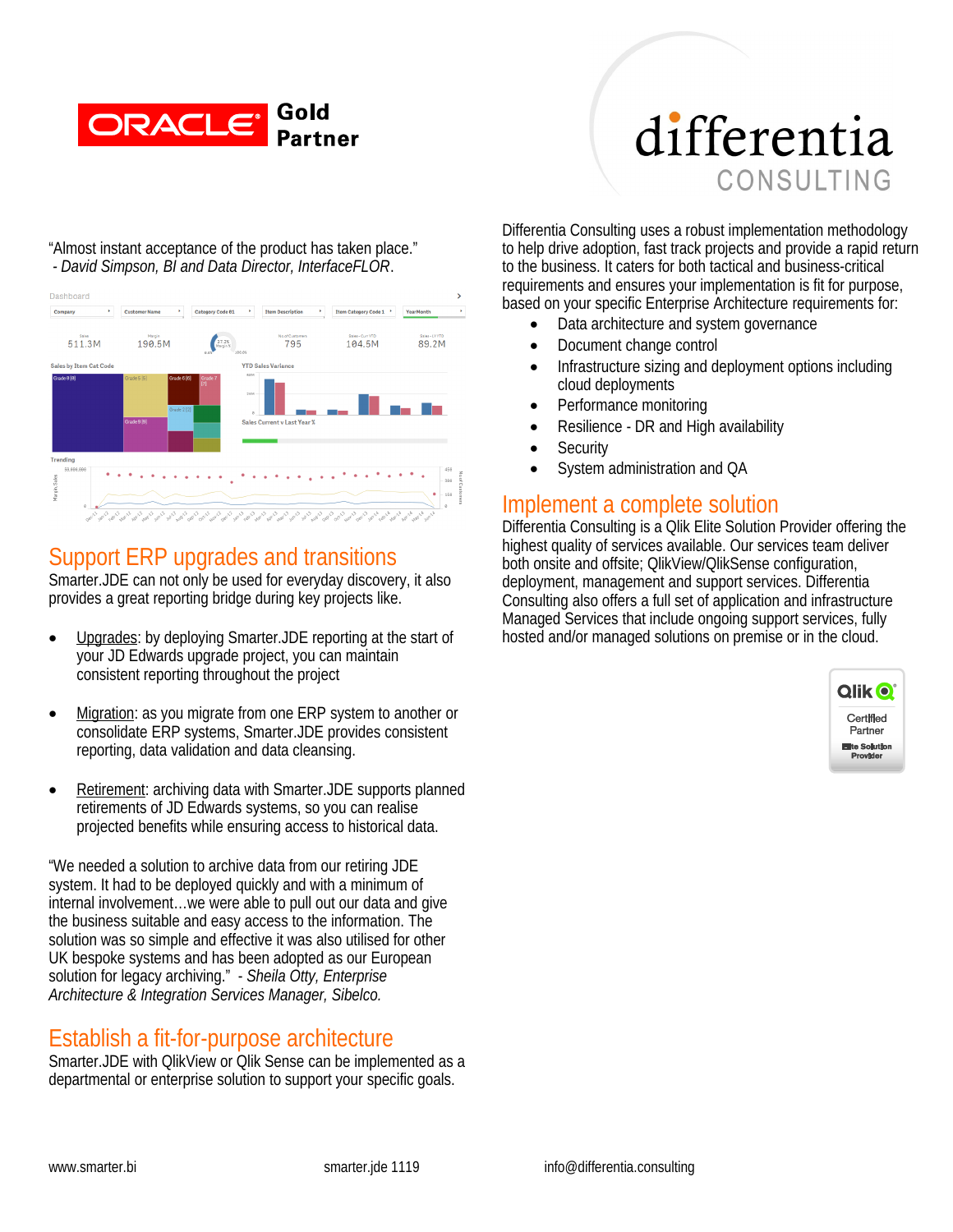

# differentia CONSULTING

"Almost instant acceptance of the product has taken place."  *- David Simpson, BI and Data Director, InterfaceFLOR*.



### Support ERP upgrades and transitions

Smarter.JDE can not only be used for everyday discovery, it also provides a great reporting bridge during key projects like.

- Upgrades: by deploying Smarter.JDE reporting at the start of your JD Edwards upgrade project, you can maintain consistent reporting throughout the project
- Migration: as you migrate from one ERP system to another or consolidate ERP systems, Smarter.JDE provides consistent reporting, data validation and data cleansing.
- Retirement: archiving data with Smarter.JDE supports planned retirements of JD Edwards systems, so you can realise projected benefits while ensuring access to historical data.

"We needed a solution to archive data from our retiring JDE system. It had to be deployed quickly and with a minimum of internal involvement…we were able to pull out our data and give the business suitable and easy access to the information. The solution was so simple and effective it was also utilised for other UK bespoke systems and has been adopted as our European solution for legacy archiving." - *Sheila Otty, Enterprise Architecture & Integration Services Manager, Sibelco.*

## Establish a fit-for-purpose architecture

Smarter.JDE with QlikView or Qlik Sense can be implemented as a departmental or enterprise solution to support your specific goals.

Differentia Consulting uses a robust implementation methodology to help drive adoption, fast track projects and provide a rapid return to the business. It caters for both tactical and business-critical requirements and ensures your implementation is fit for purpose, based on your specific Enterprise Architecture requirements for:

- Data architecture and system governance
- Document change control
- Infrastructure sizing and deployment options including cloud deployments
- Performance monitoring
- Resilience DR and High availability
- **Security**
- System administration and QA

#### Implement a complete solution

Differentia Consulting is a Qlik Elite Solution Provider offering the highest quality of services available. Our services team deliver both onsite and offsite; QlikView/QlikSense configuration, deployment, management and support services. Differentia Consulting also offers a full set of application and infrastructure Managed Services that include ongoing support services, fully hosted and/or managed solutions on premise or in the cloud.